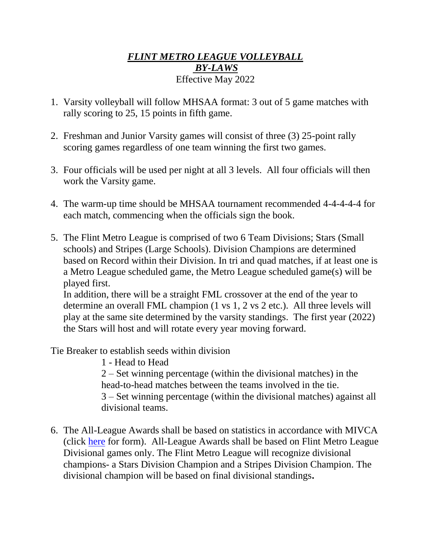## *FLINT METRO LEAGUE VOLLEYBALL BY-LAWS* Effective May 2022

- 1. Varsity volleyball will follow MHSAA format: 3 out of 5 game matches with rally scoring to 25, 15 points in fifth game.
- 2. Freshman and Junior Varsity games will consist of three (3) 25-point rally scoring games regardless of one team winning the first two games.
- 3. Four officials will be used per night at all 3 levels. All four officials will then work the Varsity game.
- 4. The warm-up time should be MHSAA tournament recommended 4-4-4-4-4 for each match, commencing when the officials sign the book.
- 5. The Flint Metro League is comprised of two 6 Team Divisions; Stars (Small schools) and Stripes (Large Schools). Division Champions are determined based on Record within their Division. In tri and quad matches, if at least one is a Metro League scheduled game, the Metro League scheduled game(s) will be played first.

In addition, there will be a straight FML crossover at the end of the year to determine an overall FML champion (1 vs 1, 2 vs 2 etc.). All three levels will play at the same site determined by the varsity standings. The first year (2022) the Stars will host and will rotate every year moving forward.

Tie Breaker to establish seeds within division

1 - Head to Head 2 – Set winning percentage (within the divisional matches) in the head-to-head matches between the teams involved in the tie. 3 – Set winning percentage (within the divisional matches) against all divisional teams.

6. The All-League Awards shall be based on statistics in accordance with MIVCA (click [here](file:///C:/Users/ddavis/AppData/Local/Packages/Microsoft.MicrosoftEdge_8wekyb3d8bbwe/MIVCA-_STATS%20(1).pdf) for form). All-League Awards shall be based on Flint Metro League Divisional games only. The Flint Metro League will recognize divisional champions- a Stars Division Champion and a Stripes Division Champion. The divisional champion will be based on final divisional standings**.**